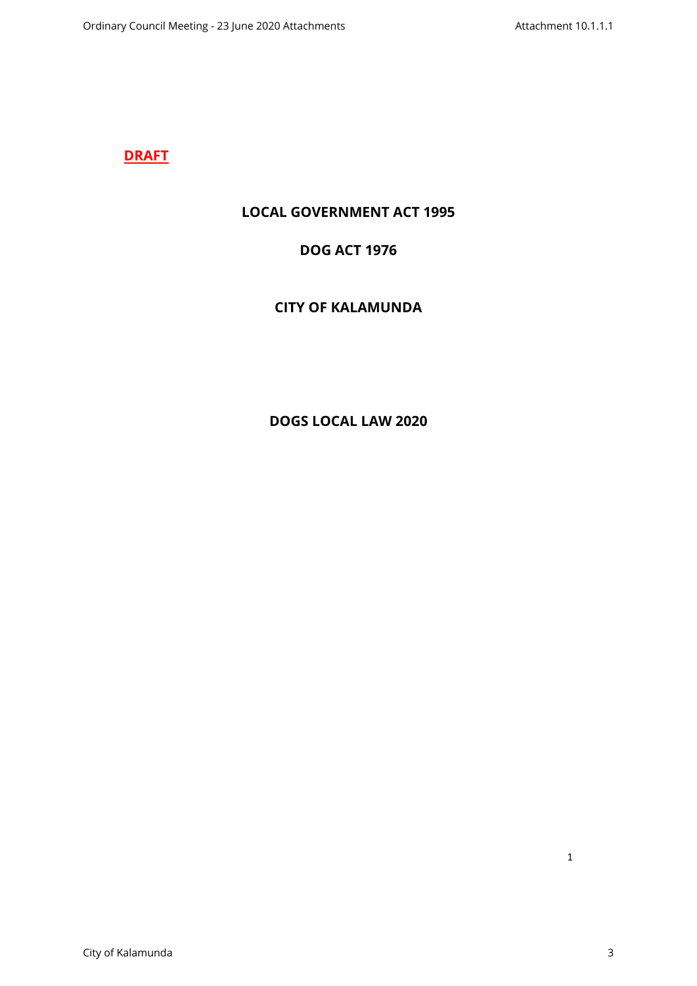# **DRAFT**

# **LOCAL GOVERNMENT ACT 1995**

# **DOG ACT 1976**

# **CITY OF KALAMUNDA**

# **DOGS LOCAL LAW 2020**

1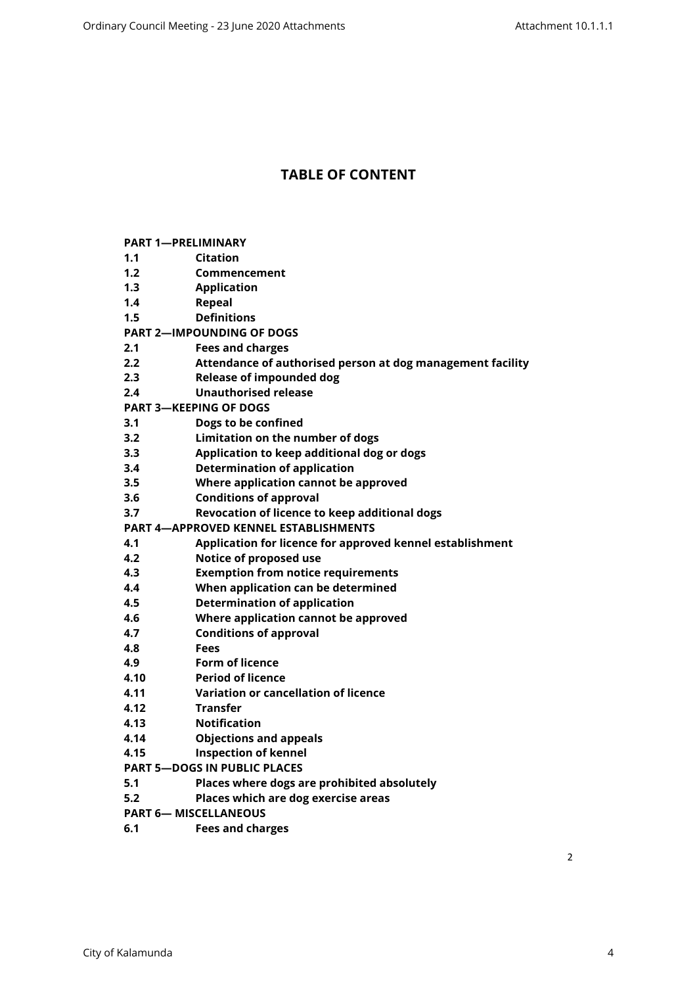# **TABLE OF CONTENT**

| <b>PART 1-PRELIMINARY</b>                    |                                                            |  |  |  |
|----------------------------------------------|------------------------------------------------------------|--|--|--|
| 1.1                                          | <b>Citation</b>                                            |  |  |  |
| 1.2                                          | Commencement                                               |  |  |  |
| 1.3                                          | <b>Application</b>                                         |  |  |  |
| 1.4                                          | <b>Repeal</b>                                              |  |  |  |
| 1.5                                          | <b>Definitions</b>                                         |  |  |  |
| <b>PART 2-IMPOUNDING OF DOGS</b>             |                                                            |  |  |  |
| 2.1                                          | <b>Fees and charges</b>                                    |  |  |  |
| 2.2                                          | Attendance of authorised person at dog management facility |  |  |  |
| 2.3                                          | <b>Release of impounded dog</b>                            |  |  |  |
| 2.4                                          | <b>Unauthorised release</b>                                |  |  |  |
| <b>PART 3-KEEPING OF DOGS</b>                |                                                            |  |  |  |
| 3.1                                          | Dogs to be confined                                        |  |  |  |
| 3.2                                          | Limitation on the number of dogs                           |  |  |  |
| 3.3                                          | Application to keep additional dog or dogs                 |  |  |  |
| 3.4                                          | <b>Determination of application</b>                        |  |  |  |
| 3.5                                          | Where application cannot be approved                       |  |  |  |
| 3.6                                          | <b>Conditions of approval</b>                              |  |  |  |
| 3.7                                          | Revocation of licence to keep additional dogs              |  |  |  |
| <b>PART 4-APPROVED KENNEL ESTABLISHMENTS</b> |                                                            |  |  |  |
| 4.1                                          | Application for licence for approved kennel establishment  |  |  |  |
| 4.2                                          | Notice of proposed use                                     |  |  |  |
| 4.3                                          | <b>Exemption from notice requirements</b>                  |  |  |  |
| 4.4                                          | When application can be determined                         |  |  |  |
| 4.5                                          | <b>Determination of application</b>                        |  |  |  |
| 4.6                                          | Where application cannot be approved                       |  |  |  |
| 4.7                                          | <b>Conditions of approval</b>                              |  |  |  |
| 4.8                                          | <b>Fees</b>                                                |  |  |  |
| 4.9                                          | <b>Form of licence</b>                                     |  |  |  |
| 4.10                                         | <b>Period of licence</b>                                   |  |  |  |
| 4.11                                         | Variation or cancellation of licence                       |  |  |  |
| 4.12                                         | <b>Transfer</b>                                            |  |  |  |
| 4.13                                         | <b>Notification</b>                                        |  |  |  |
| 4.14                                         | <b>Objections and appeals</b>                              |  |  |  |
| 4.15                                         | <b>Inspection of kennel</b>                                |  |  |  |
| <b>PART 5-DOGS IN PUBLIC PLACES</b>          |                                                            |  |  |  |
| 5.1                                          | Places where dogs are prohibited absolutely                |  |  |  |
| 5.2                                          | Places which are dog exercise areas                        |  |  |  |
| <b>PART 6- MISCELLANEOUS</b>                 |                                                            |  |  |  |

**[6.1 Fees and charges](#page-14-2)**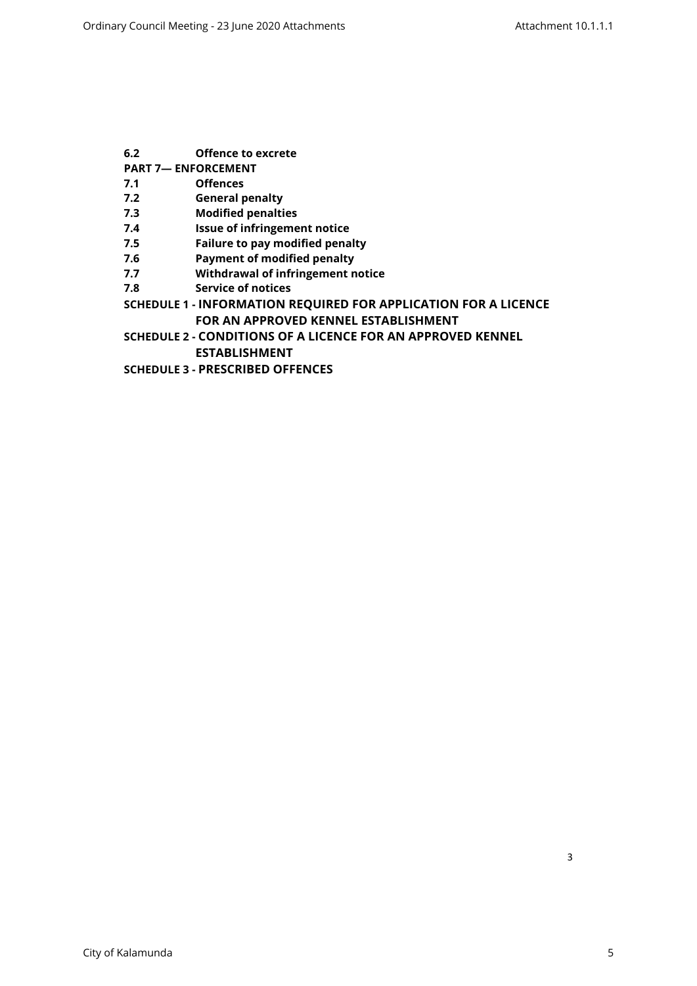- **[6.2 Offence to excrete](#page-14-3)**
- **[PART 7— ENFORCEMENT](#page-14-4)**
- **[7.1 Offences](#page-14-5)**
- **[7.2 General penalty](#page-14-6)**
- **[7.3 Modified penalties](#page-15-0)**
- **[7.4 Issue of infringement notice](#page-15-1)**
- **[7.5 Failure to pay modified penalty](#page-15-2)**
- **[7.6 Payment of modified penalty](#page-15-3)**
- **[7.7 Withdrawal of infringement notice](#page-15-4)**
- **[7.8 Service of notices](#page-16-0)**
- **SCHEDULE 1 [INFORMATION REQUIRED FOR APPLICATION FOR A LICENCE](#page-17-0)  [FOR AN APPROVED KENNEL ESTABLISHMENT](#page-17-0)**
- **SCHEDULE 2 [CONDITIONS OF A LICENCE FOR AN APPROVED KENNEL](#page-19-0)  [ESTABLISHMENT](#page-19-0)**
- **SCHEDULE 3 [PRESCRIBED OFFENCES](#page-22-0)**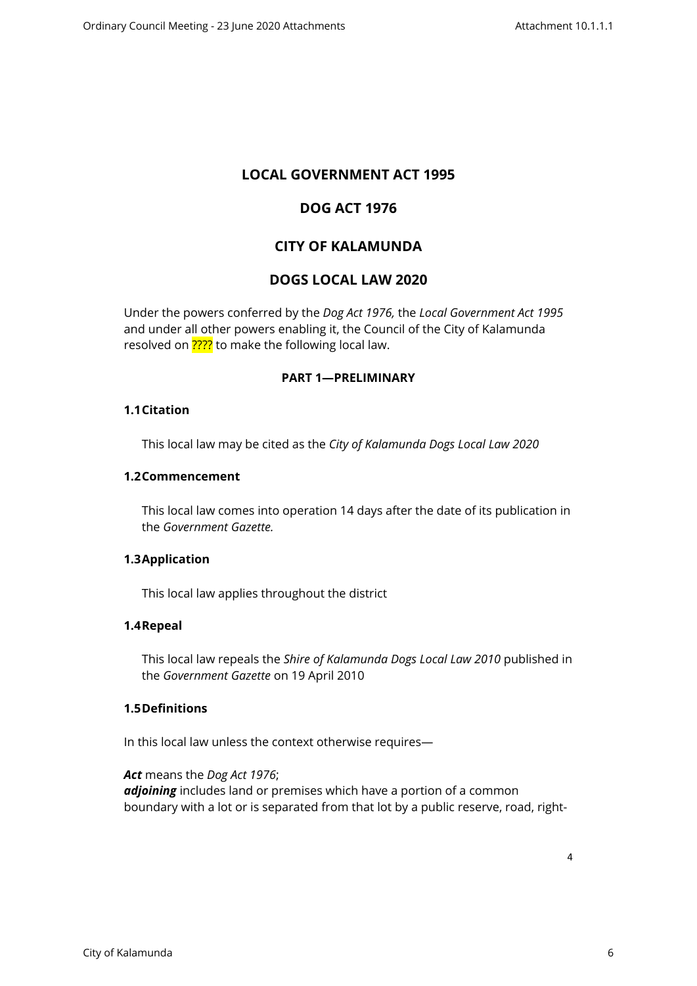# **LOCAL GOVERNMENT ACT 1995**

# **DOG ACT 1976**

# **CITY OF KALAMUNDA**

# **DOGS LOCAL LAW 2020**

Under the powers conferred by the *Dog Act 1976,* the *Local Government Act 1995*  and under all other powers enabling it, the Council of the City of Kalamunda resolved on **????** to make the following local law.

# <span id="page-3-0"></span>**PART 1—PRELIMINARY**

#### <span id="page-3-1"></span>**1.1Citation**

This local law may be cited as the *City of Kalamunda Dogs Local Law 2020*

#### <span id="page-3-2"></span>**1.2Commencement**

This local law comes into operation 14 days after the date of its publication in the *Government Gazette.*

# <span id="page-3-3"></span>**1.3Application**

This local law applies throughout the district

# <span id="page-3-4"></span>**1.4Repeal**

This local law repeals the *Shire of Kalamunda Dogs Local Law 2010* published in the *Government Gazette* on 19 April 2010

# **1.5Definitions**

<span id="page-3-5"></span>In this local law unless the context otherwise requires—

*Act* means the *Dog Act 1976*; *adjoining* includes land or premises which have a portion of a common boundary with a lot or is separated from that lot by a public reserve, road, right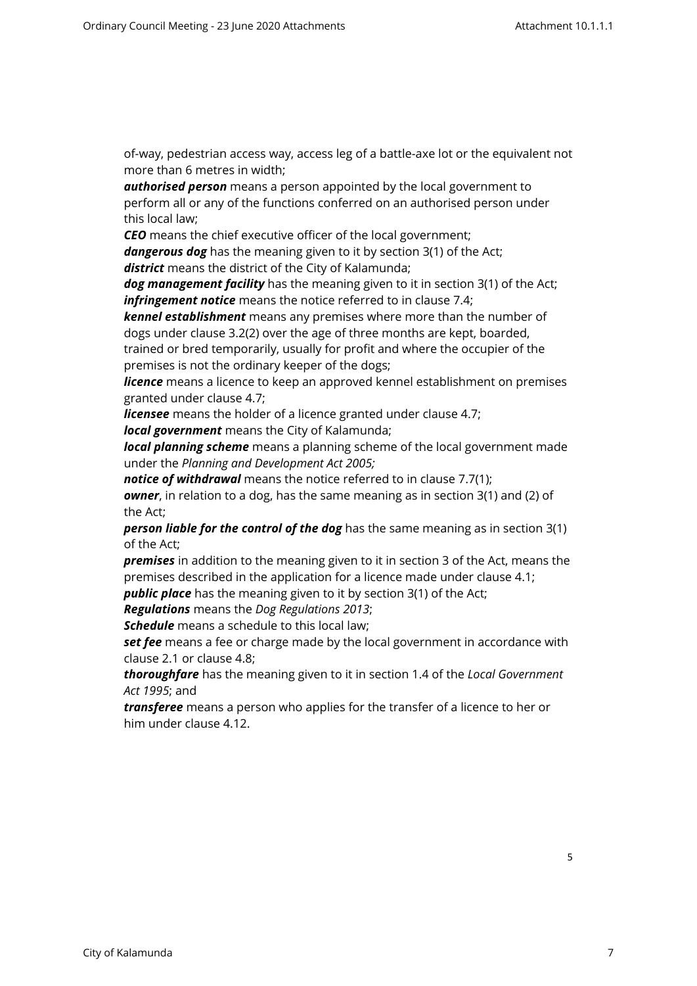of-way, pedestrian access way, access leg of a battle-axe lot or the equivalent not more than 6 metres in width;

*authorised person* means a person appointed by the local government to perform all or any of the functions conferred on an authorised person under this local law;

*CEO* means the chief executive officer of the local government;

*dangerous dog* has the meaning given to it by section 3(1) of the Act; *district* means the district of the City of Kalamunda;

*dog management facility* has the meaning given to it in section 3(1) of the Act; *infringement notice* means the notice referred to in clause 7.4;

*kennel establishment* means any premises where more than the number of dogs under clause 3.2(2) over the age of three months are kept, boarded, trained or bred temporarily, usually for profit and where the occupier of the

premises is not the ordinary keeper of the dogs;

*licence* means a licence to keep an approved kennel establishment on premises granted under clause 4.7;

*licensee* means the holder of a licence granted under clause 4.7;

*local government* means the City of Kalamunda;

*local planning scheme* means a planning scheme of the local government made under the *Planning and Development Act 2005;*

*notice of withdrawal* means the notice referred to in clause 7.7(1); *owner*, in relation to a dog, has the same meaning as in section 3(1) and (2) of the Act;

*person liable for the control of the dog* has the same meaning as in section 3(1) of the Act;

*premises* in addition to the meaning given to it in section 3 of the Act, means the premises described in the application for a licence made under clause 4.1;

**public place** has the meaning given to it by section 3(1) of the Act;

*Regulations* means the *Dog Regulations 2013*;

*Schedule* means a schedule to this local law;

**set fee** means a fee or charge made by the local government in accordance with clause 2.1 or clause 4.8;

*thoroughfare* has the meaning given to it in section 1.4 of the *Local Government Act 1995*; and

*transferee* means a person who applies for the transfer of a licence to her or him under clause 4.12.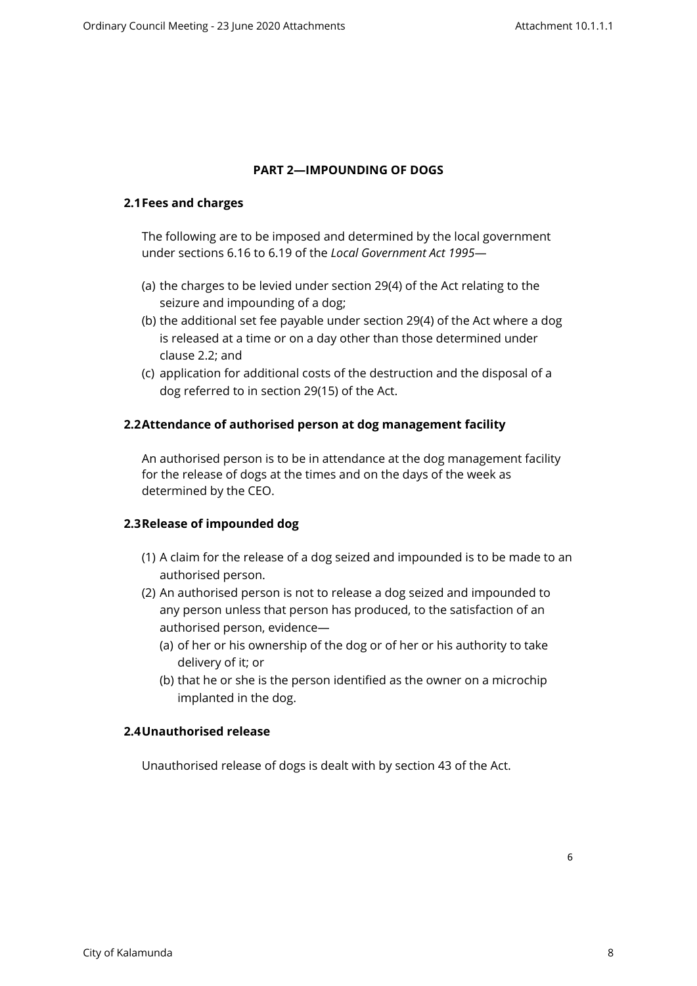# <span id="page-5-0"></span>**PART 2—IMPOUNDING OF DOGS**

#### <span id="page-5-1"></span>**2.1Fees and charges**

The following are to be imposed and determined by the local government under sections 6.16 to 6.19 of the *Local Government Act 1995*—

- (a) the charges to be levied under section 29(4) of the Act relating to the seizure and impounding of a dog;
- (b) the additional set fee payable under section 29(4) of the Act where a dog is released at a time or on a day other than those determined under clause 2.2; and
- (c) application for additional costs of the destruction and the disposal of a dog referred to in section 29(15) of the Act.

# <span id="page-5-2"></span>**2.2Attendance of authorised person at dog management facility**

An authorised person is to be in attendance at the dog management facility for the release of dogs at the times and on the days of the week as determined by the CEO.

# <span id="page-5-3"></span>**2.3Release of impounded dog**

- (1) A claim for the release of a dog seized and impounded is to be made to an authorised person.
- (2) An authorised person is not to release a dog seized and impounded to any person unless that person has produced, to the satisfaction of an authorised person, evidence—
	- (a) of her or his ownership of the dog or of her or his authority to take delivery of it; or
	- (b) that he or she is the person identified as the owner on a microchip implanted in the dog.

# <span id="page-5-4"></span>**2.4Unauthorised release**

Unauthorised release of dogs is dealt with by section 43 of the Act.

6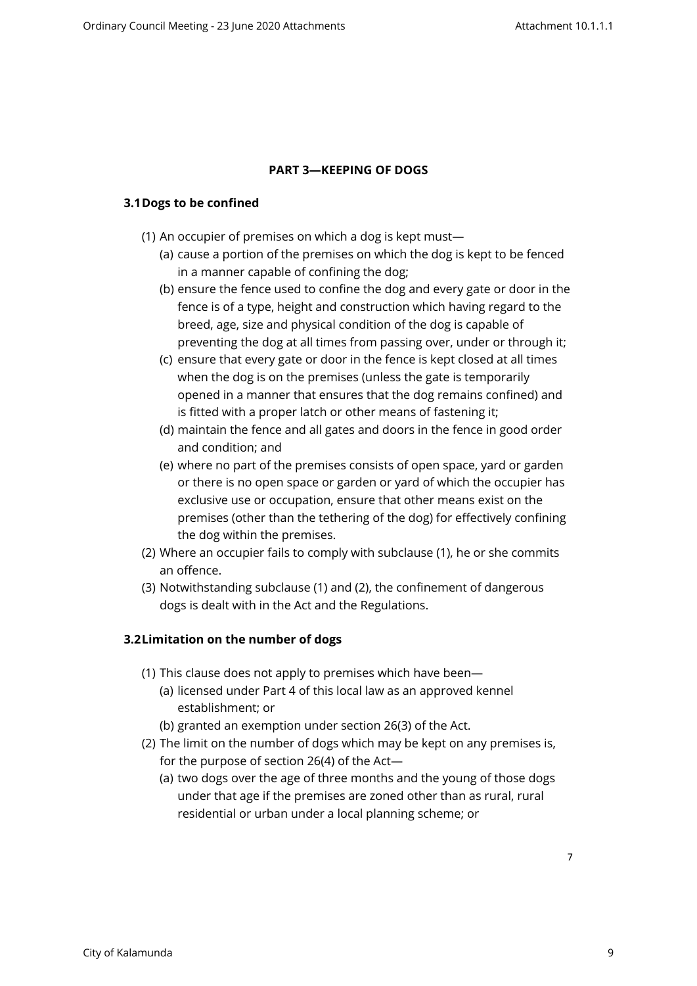# <span id="page-6-0"></span>**PART 3—KEEPING OF DOGS**

# <span id="page-6-1"></span>**3.1Dogs to be confined**

- (1) An occupier of premises on which a dog is kept must—
	- (a) cause a portion of the premises on which the dog is kept to be fenced in a manner capable of confining the dog;
	- (b) ensure the fence used to confine the dog and every gate or door in the fence is of a type, height and construction which having regard to the breed, age, size and physical condition of the dog is capable of preventing the dog at all times from passing over, under or through it;
	- (c) ensure that every gate or door in the fence is kept closed at all times when the dog is on the premises (unless the gate is temporarily opened in a manner that ensures that the dog remains confined) and is fitted with a proper latch or other means of fastening it;
	- (d) maintain the fence and all gates and doors in the fence in good order and condition; and
	- (e) where no part of the premises consists of open space, yard or garden or there is no open space or garden or yard of which the occupier has exclusive use or occupation, ensure that other means exist on the premises (other than the tethering of the dog) for effectively confining the dog within the premises.
- (2) Where an occupier fails to comply with subclause (1), he or she commits an offence.
- (3) Notwithstanding subclause (1) and (2), the confinement of dangerous dogs is dealt with in the Act and the Regulations.

# <span id="page-6-2"></span>**3.2Limitation on the number of dogs**

- (1) This clause does not apply to premises which have been—
	- (a) licensed under Part 4 of this local law as an approved kennel establishment; or
	- (b) granted an exemption under section 26(3) of the Act.
- (2) The limit on the number of dogs which may be kept on any premises is, for the purpose of section 26(4) of the Act—
	- (a) two dogs over the age of three months and the young of those dogs under that age if the premises are zoned other than as rural, rural residential or urban under a local planning scheme; or

7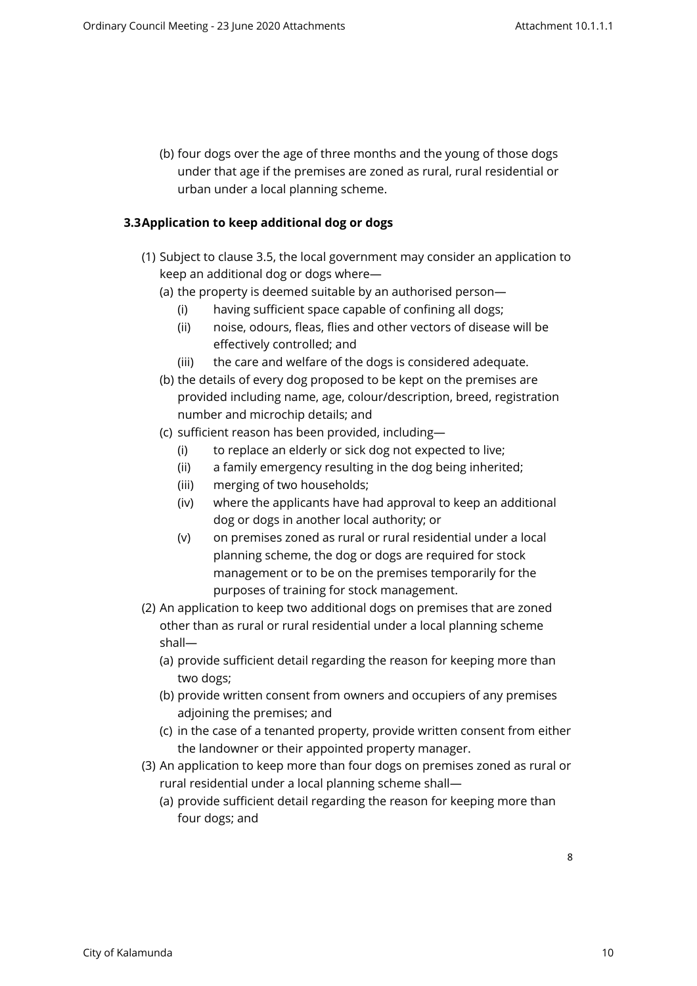(b) four dogs over the age of three months and the young of those dogs under that age if the premises are zoned as rural, rural residential or urban under a local planning scheme.

# <span id="page-7-0"></span>**3.3Application to keep additional dog or dogs**

- (1) Subject to clause 3.5, the local government may consider an application to keep an additional dog or dogs where—
	- (a) the property is deemed suitable by an authorised person—
		- (i) having sufficient space capable of confining all dogs;
		- (ii) noise, odours, fleas, flies and other vectors of disease will be effectively controlled; and
		- (iii) the care and welfare of the dogs is considered adequate.
	- (b) the details of every dog proposed to be kept on the premises are provided including name, age, colour/description, breed, registration number and microchip details; and
	- (c) sufficient reason has been provided, including—
		- (i) to replace an elderly or sick dog not expected to live;
		- (ii) a family emergency resulting in the dog being inherited;
		- (iii) merging of two households;
		- (iv) where the applicants have had approval to keep an additional dog or dogs in another local authority; or
		- (v) on premises zoned as rural or rural residential under a local planning scheme, the dog or dogs are required for stock management or to be on the premises temporarily for the purposes of training for stock management.
- (2) An application to keep two additional dogs on premises that are zoned other than as rural or rural residential under a local planning scheme shall—
	- (a) provide sufficient detail regarding the reason for keeping more than two dogs;
	- (b) provide written consent from owners and occupiers of any premises adjoining the premises; and
	- (c) in the case of a tenanted property, provide written consent from either the landowner or their appointed property manager.
- (3) An application to keep more than four dogs on premises zoned as rural or rural residential under a local planning scheme shall—
	- (a) provide sufficient detail regarding the reason for keeping more than four dogs; and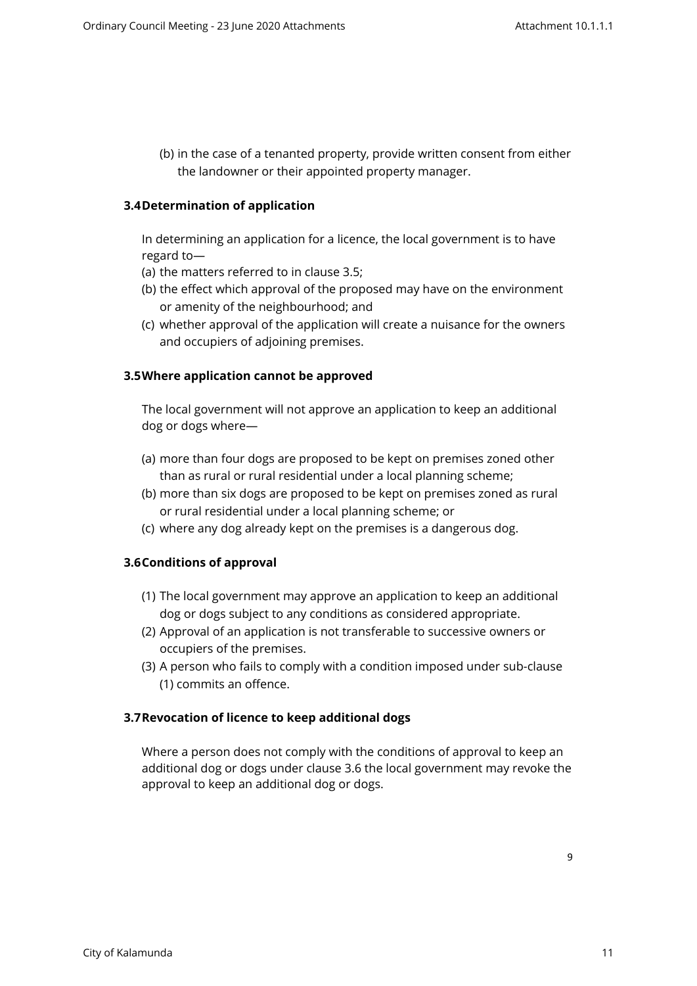(b) in the case of a tenanted property, provide written consent from either the landowner or their appointed property manager.

# <span id="page-8-0"></span>**3.4Determination of application**

In determining an application for a licence, the local government is to have regard to—

- (a) the matters referred to in clause 3.5;
- (b) the effect which approval of the proposed may have on the environment or amenity of the neighbourhood; and
- (c) whether approval of the application will create a nuisance for the owners and occupiers of adjoining premises.

# <span id="page-8-1"></span>**3.5Where application cannot be approved**

The local government will not approve an application to keep an additional dog or dogs where—

- (a) more than four dogs are proposed to be kept on premises zoned other than as rural or rural residential under a local planning scheme;
- (b) more than six dogs are proposed to be kept on premises zoned as rural or rural residential under a local planning scheme; or
- (c) where any dog already kept on the premises is a dangerous dog.

# <span id="page-8-2"></span>**3.6Conditions of approval**

- (1) The local government may approve an application to keep an additional dog or dogs subject to any conditions as considered appropriate.
- (2) Approval of an application is not transferable to successive owners or occupiers of the premises.
- (3) A person who fails to comply with a condition imposed under sub-clause (1) commits an offence.

# <span id="page-8-3"></span>**3.7Revocation of licence to keep additional dogs**

Where a person does not comply with the conditions of approval to keep an additional dog or dogs under clause 3.6 the local government may revoke the approval to keep an additional dog or dogs.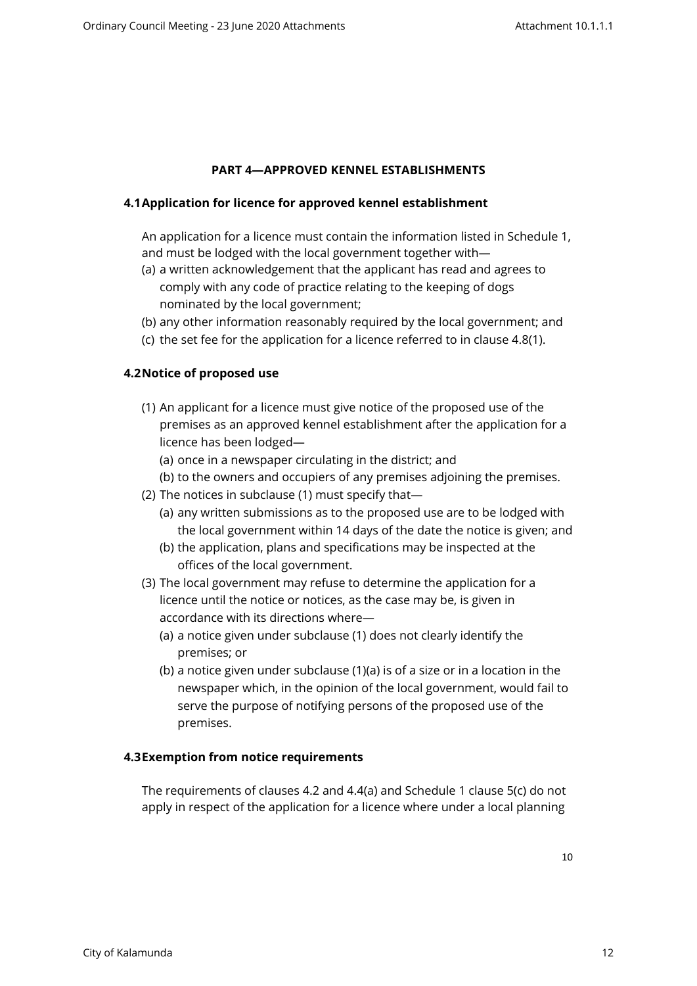# <span id="page-9-0"></span>**PART 4—APPROVED KENNEL ESTABLISHMENTS**

# <span id="page-9-1"></span>**4.1Application for licence for approved kennel establishment**

An application for a licence must contain the information listed in Schedule 1, and must be lodged with the local government together with—

- (a) a written acknowledgement that the applicant has read and agrees to comply with any code of practice relating to the keeping of dogs nominated by the local government;
- (b) any other information reasonably required by the local government; and
- (c) the set fee for the application for a licence referred to in clause 4.8(1).

# <span id="page-9-2"></span>**4.2Notice of proposed use**

- (1) An applicant for a licence must give notice of the proposed use of the premises as an approved kennel establishment after the application for a licence has been lodged—
	- (a) once in a newspaper circulating in the district; and
	- (b) to the owners and occupiers of any premises adjoining the premises.
- (2) The notices in subclause (1) must specify that—
	- (a) any written submissions as to the proposed use are to be lodged with the local government within 14 days of the date the notice is given; and
	- (b) the application, plans and specifications may be inspected at the offices of the local government.
- (3) The local government may refuse to determine the application for a licence until the notice or notices, as the case may be, is given in accordance with its directions where—
	- (a) a notice given under subclause (1) does not clearly identify the premises; or
	- (b) a notice given under subclause (1)(a) is of a size or in a location in the newspaper which, in the opinion of the local government, would fail to serve the purpose of notifying persons of the proposed use of the premises.

# **4.3Exemption from notice requirements**

<span id="page-9-3"></span>The requirements of clauses 4.2 and 4.4(a) and Schedule 1 clause 5(c) do not apply in respect of the application for a licence where under a local planning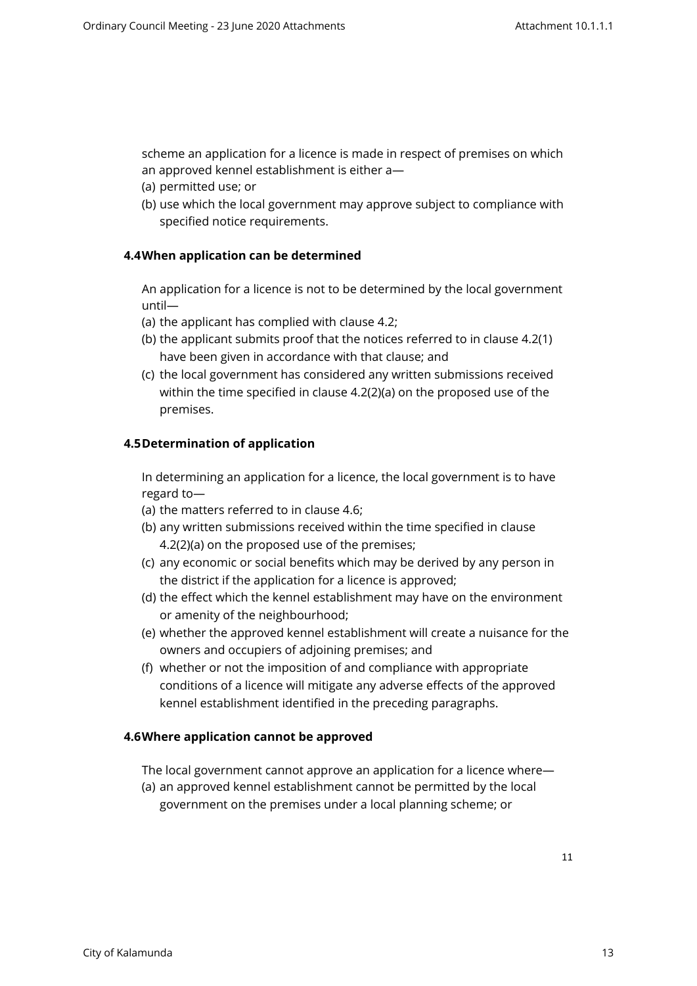scheme an application for a licence is made in respect of premises on which an approved kennel establishment is either a—

- (a) permitted use; or
- <span id="page-10-0"></span>(b) use which the local government may approve subject to compliance with specified notice requirements.

# **4.4When application can be determined**

An application for a licence is not to be determined by the local government until—

- (a) the applicant has complied with clause 4.2;
- (b) the applicant submits proof that the notices referred to in clause 4.2(1) have been given in accordance with that clause; and
- (c) the local government has considered any written submissions received within the time specified in clause 4.2(2)(a) on the proposed use of the premises.

# <span id="page-10-1"></span>**4.5Determination of application**

In determining an application for a licence, the local government is to have regard to—

- (a) the matters referred to in clause 4.6;
- (b) any written submissions received within the time specified in clause 4.2(2)(a) on the proposed use of the premises;
- (c) any economic or social benefits which may be derived by any person in the district if the application for a licence is approved;
- (d) the effect which the kennel establishment may have on the environment or amenity of the neighbourhood;
- (e) whether the approved kennel establishment will create a nuisance for the owners and occupiers of adjoining premises; and
- (f) whether or not the imposition of and compliance with appropriate conditions of a licence will mitigate any adverse effects of the approved kennel establishment identified in the preceding paragraphs.

# <span id="page-10-2"></span>**4.6Where application cannot be approved**

The local government cannot approve an application for a licence where—

(a) an approved kennel establishment cannot be permitted by the local government on the premises under a local planning scheme; or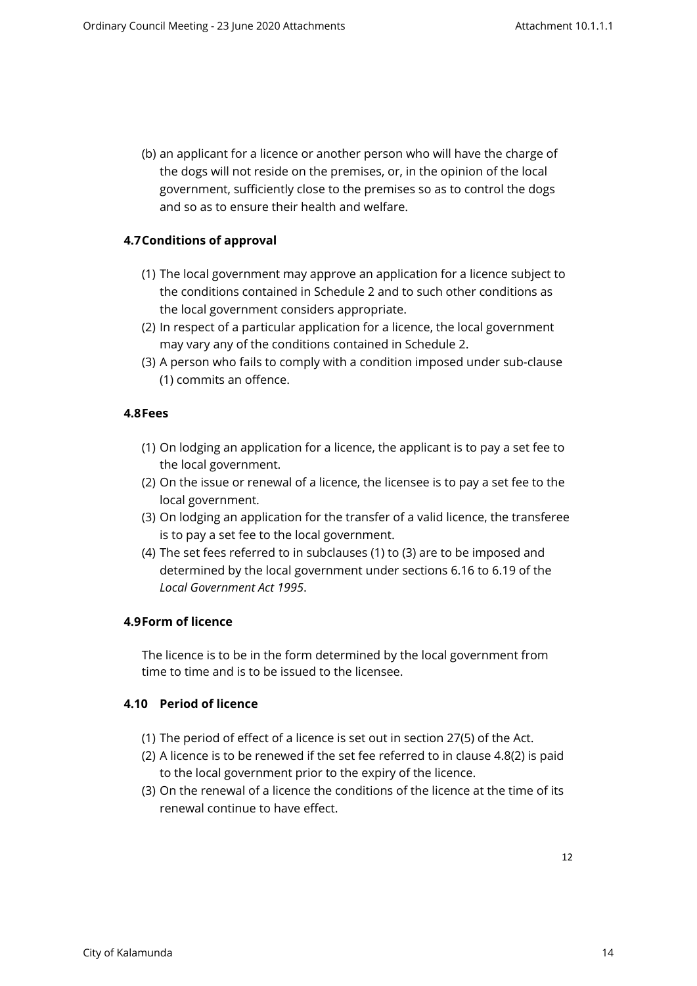(b) an applicant for a licence or another person who will have the charge of the dogs will not reside on the premises, or, in the opinion of the local government, sufficiently close to the premises so as to control the dogs and so as to ensure their health and welfare.

# <span id="page-11-0"></span>**4.7Conditions of approval**

- (1) The local government may approve an application for a licence subject to the conditions contained in Schedule 2 and to such other conditions as the local government considers appropriate.
- (2) In respect of a particular application for a licence, the local government may vary any of the conditions contained in Schedule 2.
- (3) A person who fails to comply with a condition imposed under sub-clause (1) commits an offence.

# <span id="page-11-1"></span>**4.8Fees**

- (1) On lodging an application for a licence, the applicant is to pay a set fee to the local government.
- (2) On the issue or renewal of a licence, the licensee is to pay a set fee to the local government.
- (3) On lodging an application for the transfer of a valid licence, the transferee is to pay a set fee to the local government.
- (4) The set fees referred to in subclauses (1) to (3) are to be imposed and determined by the local government under sections 6.16 to 6.19 of the *Local Government Act 1995*.

# <span id="page-11-2"></span>**4.9Form of licence**

The licence is to be in the form determined by the local government from time to time and is to be issued to the licensee.

# <span id="page-11-3"></span>**4.10 Period of licence**

- (1) The period of effect of a licence is set out in section 27(5) of the Act.
- (2) A licence is to be renewed if the set fee referred to in clause 4.8(2) is paid to the local government prior to the expiry of the licence.
- (3) On the renewal of a licence the conditions of the licence at the time of its renewal continue to have effect.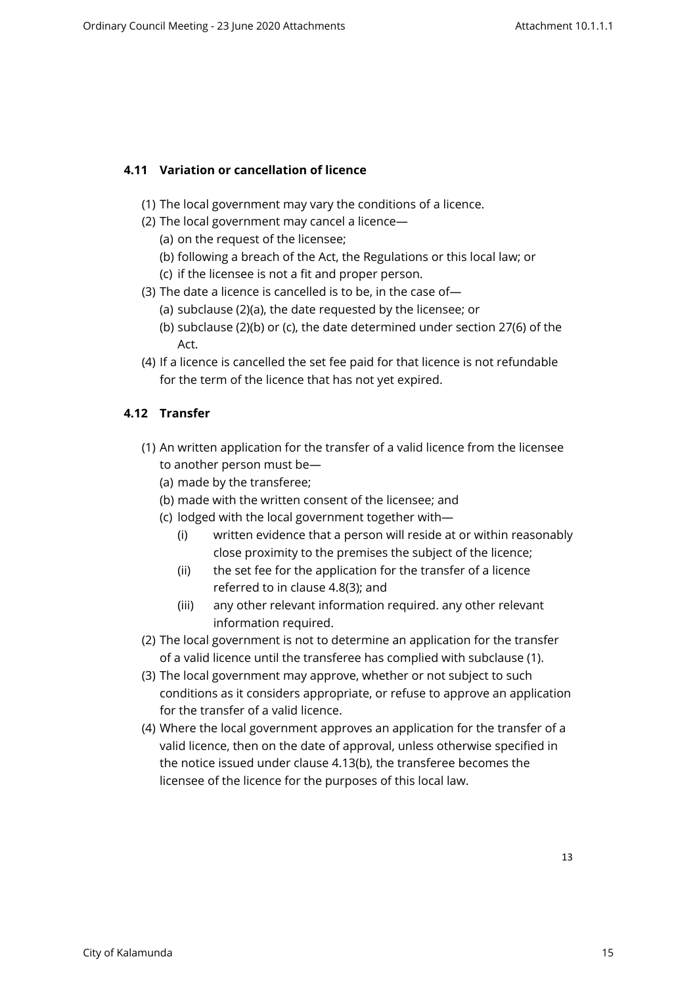# <span id="page-12-0"></span>**4.11 Variation or cancellation of licence**

- (1) The local government may vary the conditions of a licence.
- (2) The local government may cancel a licence—
	- (a) on the request of the licensee;
	- (b) following a breach of the Act, the Regulations or this local law; or
	- (c) if the licensee is not a fit and proper person.
- (3) The date a licence is cancelled is to be, in the case of—
	- (a) subclause (2)(a), the date requested by the licensee; or
	- (b) subclause (2)(b) or (c), the date determined under section 27(6) of the Act.
- (4) If a licence is cancelled the set fee paid for that licence is not refundable for the term of the licence that has not yet expired.

# <span id="page-12-1"></span>**4.12 Transfer**

- (1) An written application for the transfer of a valid licence from the licensee to another person must be—
	- (a) made by the transferee;
	- (b) made with the written consent of the licensee; and
	- (c) lodged with the local government together with—
		- (i) written evidence that a person will reside at or within reasonably close proximity to the premises the subject of the licence;
		- (ii) the set fee for the application for the transfer of a licence referred to in clause 4.8(3); and
		- (iii) any other relevant information required. any other relevant information required.
- (2) The local government is not to determine an application for the transfer of a valid licence until the transferee has complied with subclause (1).
- (3) The local government may approve, whether or not subject to such conditions as it considers appropriate, or refuse to approve an application for the transfer of a valid licence.
- (4) Where the local government approves an application for the transfer of a valid licence, then on the date of approval, unless otherwise specified in the notice issued under clause 4.13(b), the transferee becomes the licensee of the licence for the purposes of this local law.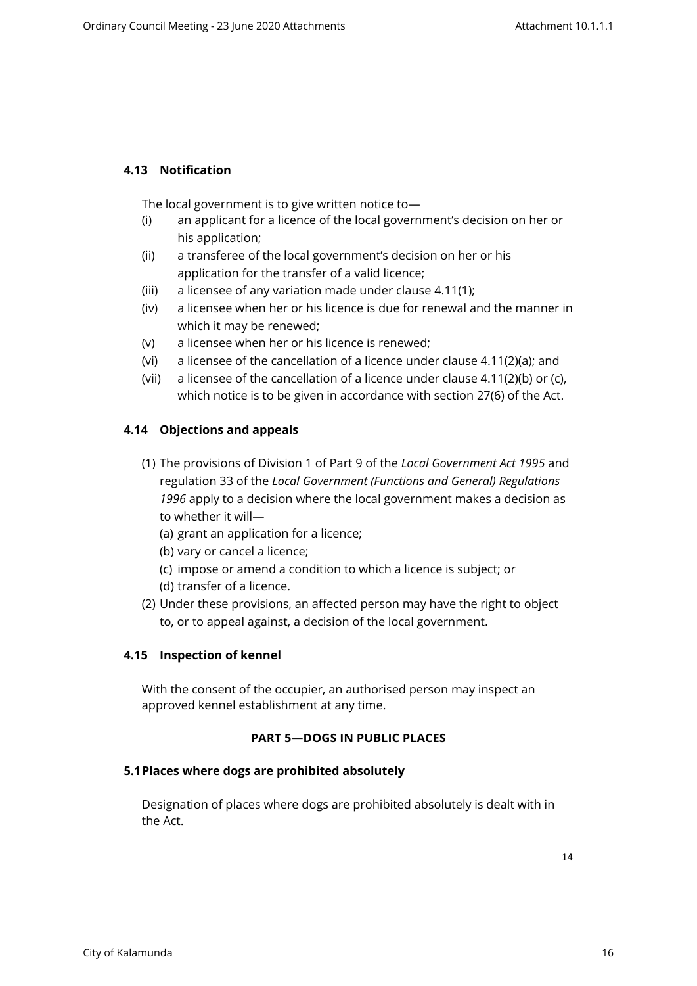# <span id="page-13-0"></span>**4.13 Notification**

The local government is to give written notice to—

- (i) an applicant for a licence of the local government's decision on her or his application;
- (ii) a transferee of the local government's decision on her or his application for the transfer of a valid licence;
- (iii) a licensee of any variation made under clause 4.11(1);
- (iv) a licensee when her or his licence is due for renewal and the manner in which it may be renewed;
- (v) a licensee when her or his licence is renewed;
- (vi) a licensee of the cancellation of a licence under clause 4.11(2)(a); and
- (vii) a licensee of the cancellation of a licence under clause 4.11(2)(b) or (c), which notice is to be given in accordance with section 27(6) of the Act.

# <span id="page-13-1"></span>**4.14 Objections and appeals**

- (1) The provisions of Division 1 of Part 9 of the *Local Government Act 1995* and regulation 33 of the *Local Government (Functions and General) Regulations 1996* apply to a decision where the local government makes a decision as to whether it will—
	- (a) grant an application for a licence;
	- (b) vary or cancel a licence;
	- (c) impose or amend a condition to which a licence is subject; or
	- (d) transfer of a licence.
- (2) Under these provisions, an affected person may have the right to object to, or to appeal against, a decision of the local government.

# <span id="page-13-2"></span>**4.15 Inspection of kennel**

With the consent of the occupier, an authorised person may inspect an approved kennel establishment at any time.

# <span id="page-13-3"></span>**PART 5—DOGS IN PUBLIC PLACES**

# **5.1Places where dogs are prohibited absolutely**

<span id="page-13-4"></span>Designation of places where dogs are prohibited absolutely is dealt with in the Act.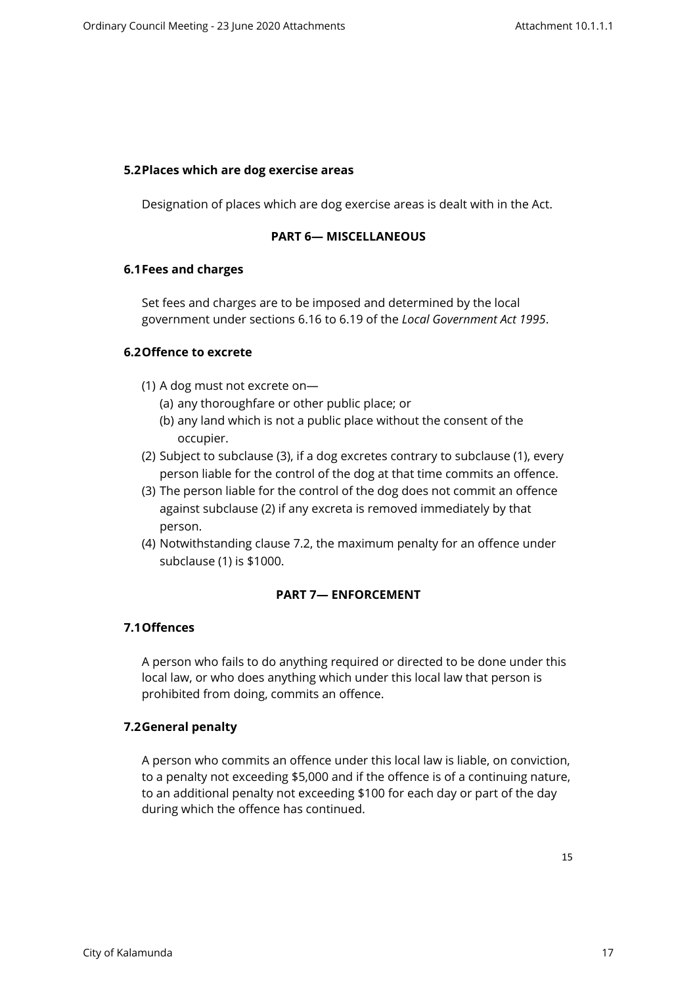#### <span id="page-14-0"></span>**5.2Places which are dog exercise areas**

Designation of places which are dog exercise areas is dealt with in the Act.

#### <span id="page-14-1"></span>**PART 6— MISCELLANEOUS**

#### <span id="page-14-2"></span>**6.1Fees and charges**

Set fees and charges are to be imposed and determined by the local government under sections 6.16 to 6.19 of the *Local Government Act 1995*.

# <span id="page-14-3"></span>**6.2Offence to excrete**

- (1) A dog must not excrete on—
	- (a) any thoroughfare or other public place; or
	- (b) any land which is not a public place without the consent of the occupier.
- (2) Subject to subclause (3), if a dog excretes contrary to subclause (1), every person liable for the control of the dog at that time commits an offence.
- (3) The person liable for the control of the dog does not commit an offence against subclause (2) if any excreta is removed immediately by that person.
- (4) Notwithstanding clause 7.2, the maximum penalty for an offence under subclause (1) is \$1000.

# <span id="page-14-4"></span>**PART 7— ENFORCEMENT**

# <span id="page-14-5"></span>**7.1Offences**

A person who fails to do anything required or directed to be done under this local law, or who does anything which under this local law that person is prohibited from doing, commits an offence.

# <span id="page-14-6"></span>**7.2General penalty**

A person who commits an offence under this local law is liable, on conviction, to a penalty not exceeding \$5,000 and if the offence is of a continuing nature, to an additional penalty not exceeding \$100 for each day or part of the day during which the offence has continued.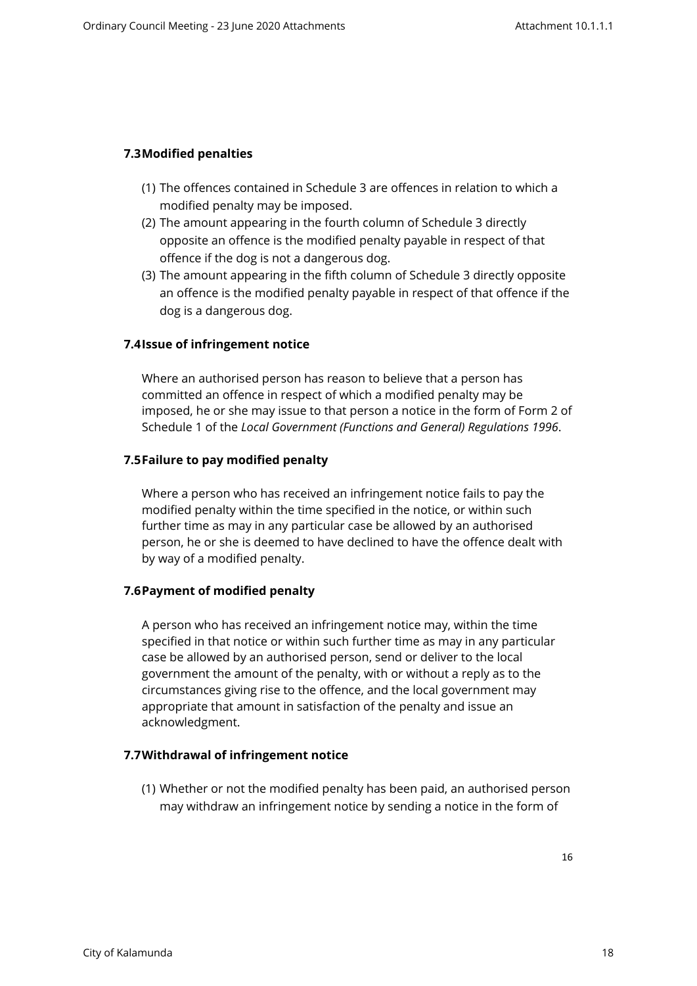# <span id="page-15-0"></span>**7.3Modified penalties**

- (1) The offences contained in Schedule 3 are offences in relation to which a modified penalty may be imposed.
- (2) The amount appearing in the fourth column of Schedule 3 directly opposite an offence is the modified penalty payable in respect of that offence if the dog is not a dangerous dog.
- (3) The amount appearing in the fifth column of Schedule 3 directly opposite an offence is the modified penalty payable in respect of that offence if the dog is a dangerous dog.

# <span id="page-15-1"></span>**7.4Issue of infringement notice**

Where an authorised person has reason to believe that a person has committed an offence in respect of which a modified penalty may be imposed, he or she may issue to that person a notice in the form of Form 2 of Schedule 1 of the *Local Government (Functions and General) Regulations 1996*.

# <span id="page-15-2"></span>**7.5Failure to pay modified penalty**

Where a person who has received an infringement notice fails to pay the modified penalty within the time specified in the notice, or within such further time as may in any particular case be allowed by an authorised person, he or she is deemed to have declined to have the offence dealt with by way of a modified penalty.

# <span id="page-15-3"></span>**7.6Payment of modified penalty**

A person who has received an infringement notice may, within the time specified in that notice or within such further time as may in any particular case be allowed by an authorised person, send or deliver to the local government the amount of the penalty, with or without a reply as to the circumstances giving rise to the offence, and the local government may appropriate that amount in satisfaction of the penalty and issue an acknowledgment.

# **7.7Withdrawal of infringement notice**

<span id="page-15-4"></span>(1) Whether or not the modified penalty has been paid, an authorised person may withdraw an infringement notice by sending a notice in the form of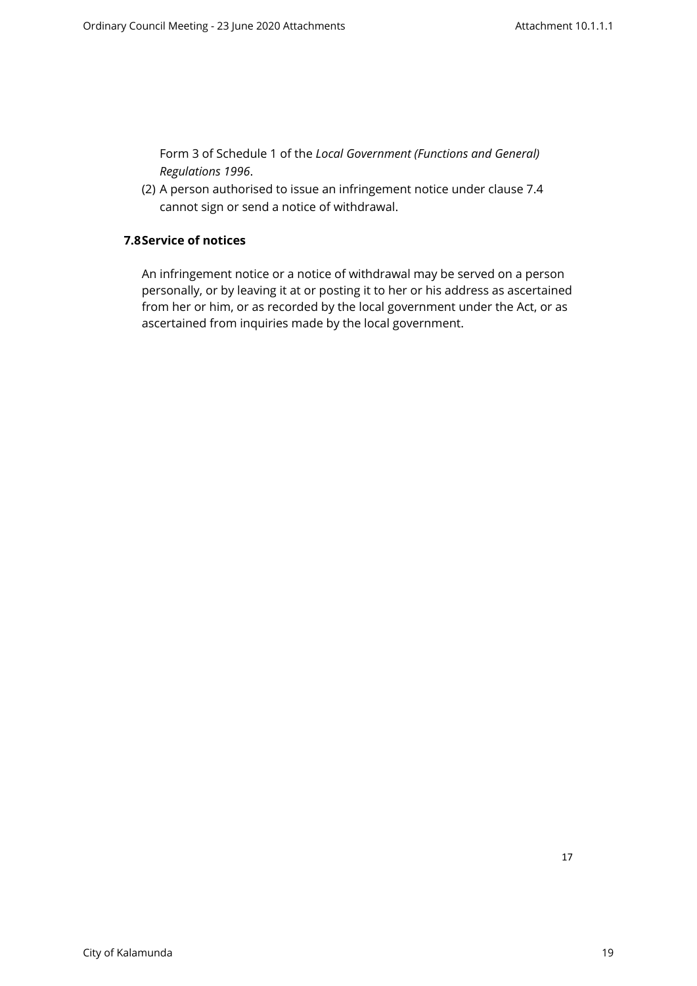Form 3 of Schedule 1 of the *Local Government (Functions and General) Regulations 1996*.

<span id="page-16-0"></span>(2) A person authorised to issue an infringement notice under clause 7.4 cannot sign or send a notice of withdrawal.

# **7.8Service of notices**

An infringement notice or a notice of withdrawal may be served on a person personally, or by leaving it at or posting it to her or his address as ascertained from her or him, or as recorded by the local government under the Act, or as ascertained from inquiries made by the local government.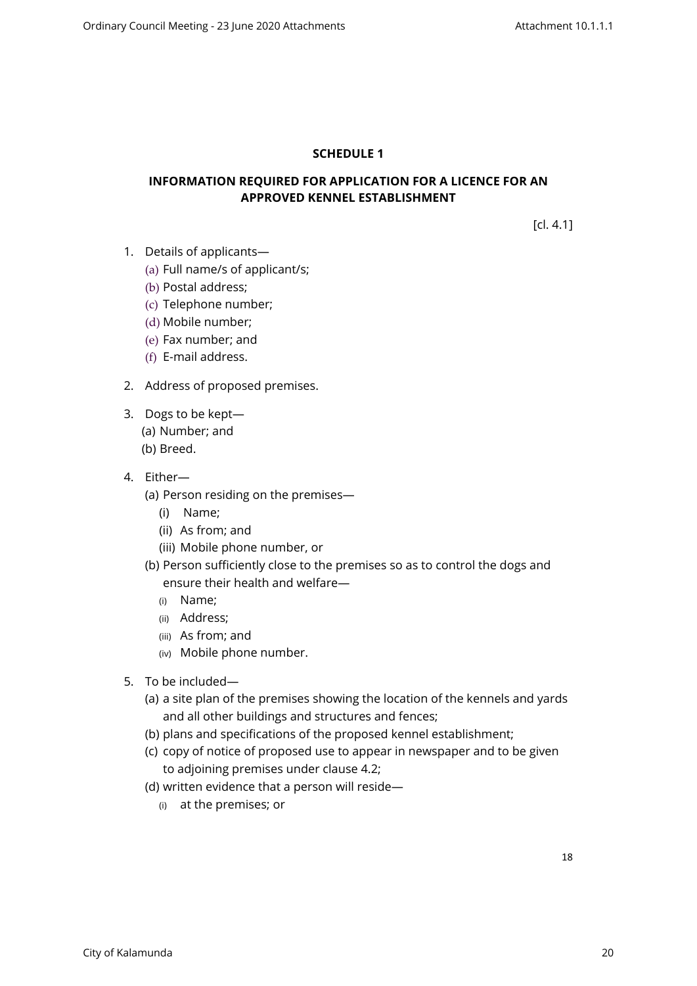# <span id="page-17-0"></span>**SCHEDULE 1**

# **INFORMATION REQUIRED FOR APPLICATION FOR A LICENCE FOR AN APPROVED KENNEL ESTABLISHMENT**

[cl. 4.1]

- 1. Details of applicants—
	- (a) Full name/s of applicant/s;
	- (b) Postal address;
	- (c) Telephone number;
	- (d) Mobile number;
	- (e) Fax number; and
	- (f) E-mail address.
- 2. Address of proposed premises.
- 3. Dogs to be kept—
	- (a) Number; and
	- (b) Breed.
- 4. Either—
	- (a) Person residing on the premises—
		- (i) Name;
		- (ii) As from; and
		- (iii) Mobile phone number, or
	- (b) Person sufficiently close to the premises so as to control the dogs and ensure their health and welfare—
		- (i) Name;
		- (ii) Address;
		- (iii) As from; and
		- (iv) Mobile phone number.
- 5. To be included—
	- (a) a site plan of the premises showing the location of the kennels and yards and all other buildings and structures and fences;
	- (b) plans and specifications of the proposed kennel establishment;
	- (c) copy of notice of proposed use to appear in newspaper and to be given to adjoining premises under clause 4.2;
	- (d) written evidence that a person will reside—
		- (i) at the premises; or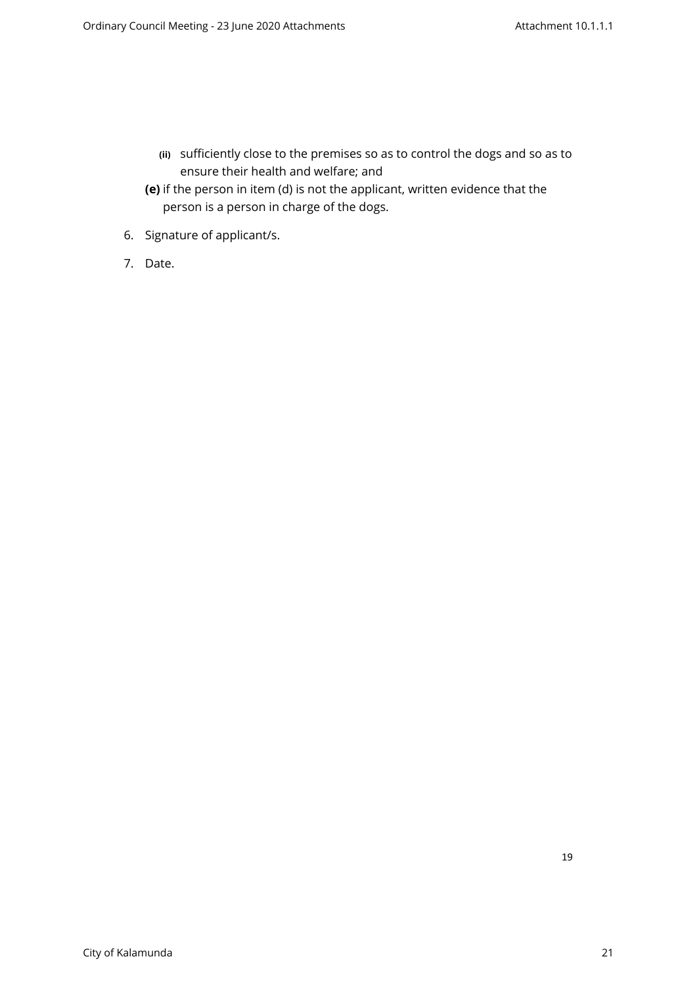- **(ii)** sufficiently close to the premises so as to control the dogs and so as to ensure their health and welfare; and
- **(e)** if the person in item (d) is not the applicant, written evidence that the person is a person in charge of the dogs.
- 6. Signature of applicant/s.
- 7. Date.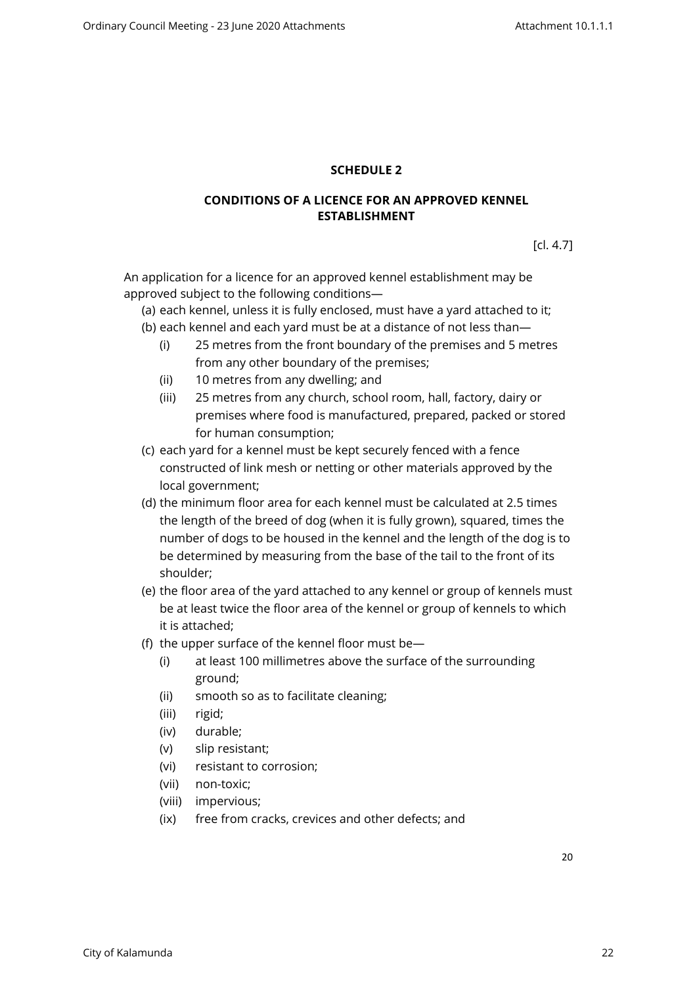# <span id="page-19-0"></span>**SCHEDULE 2**

# **CONDITIONS OF A LICENCE FOR AN APPROVED KENNEL ESTABLISHMENT**

[cl. 4.7]

An application for a licence for an approved kennel establishment may be approved subject to the following conditions—

(a) each kennel, unless it is fully enclosed, must have a yard attached to it;

- (b) each kennel and each yard must be at a distance of not less than—
	- (i) 25 metres from the front boundary of the premises and 5 metres from any other boundary of the premises;
	- (ii) 10 metres from any dwelling; and
	- (iii) 25 metres from any church, school room, hall, factory, dairy or premises where food is manufactured, prepared, packed or stored for human consumption;
- (c) each yard for a kennel must be kept securely fenced with a fence constructed of link mesh or netting or other materials approved by the local government;
- (d) the minimum floor area for each kennel must be calculated at 2.5 times the length of the breed of dog (when it is fully grown), squared, times the number of dogs to be housed in the kennel and the length of the dog is to be determined by measuring from the base of the tail to the front of its shoulder;
- (e) the floor area of the yard attached to any kennel or group of kennels must be at least twice the floor area of the kennel or group of kennels to which it is attached;
- (f) the upper surface of the kennel floor must be—
	- (i) at least 100 millimetres above the surface of the surrounding ground;
	- (ii) smooth so as to facilitate cleaning;
	- (iii) rigid;
	- (iv) durable;
	- (v) slip resistant;
	- (vi) resistant to corrosion;
	- (vii) non-toxic;
	- (viii) impervious;
	- (ix) free from cracks, crevices and other defects; and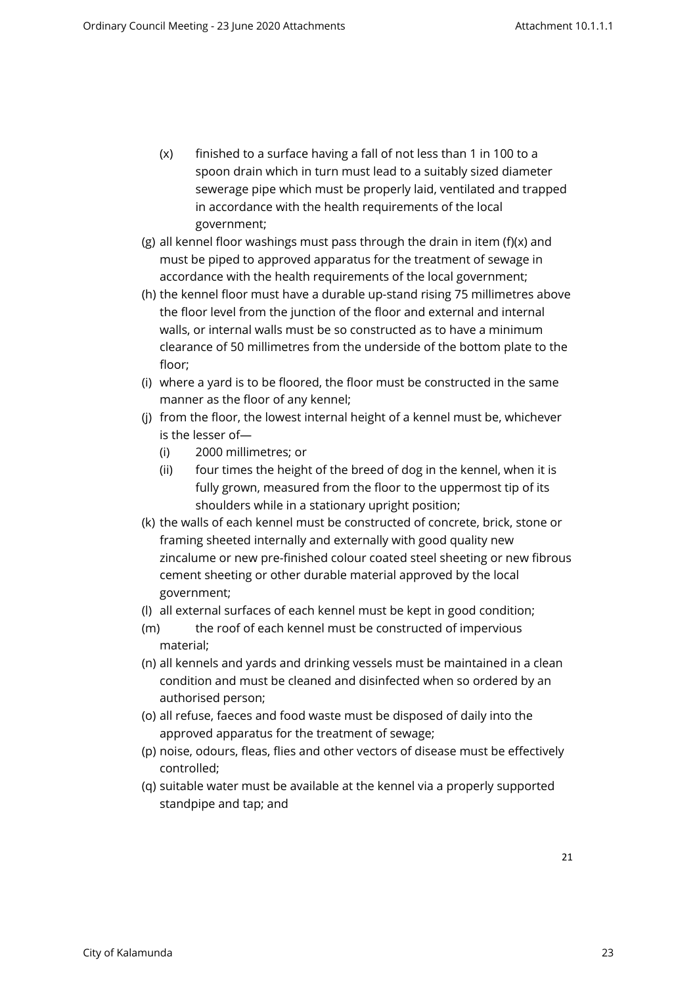- (x) finished to a surface having a fall of not less than 1 in 100 to a spoon drain which in turn must lead to a suitably sized diameter sewerage pipe which must be properly laid, ventilated and trapped in accordance with the health requirements of the local government;
- (g) all kennel floor washings must pass through the drain in item (f)(x) and must be piped to approved apparatus for the treatment of sewage in accordance with the health requirements of the local government;
- (h) the kennel floor must have a durable up-stand rising 75 millimetres above the floor level from the junction of the floor and external and internal walls, or internal walls must be so constructed as to have a minimum clearance of 50 millimetres from the underside of the bottom plate to the floor;
- (i) where a yard is to be floored, the floor must be constructed in the same manner as the floor of any kennel;
- (j) from the floor, the lowest internal height of a kennel must be, whichever is the lesser of—
	- (i) 2000 millimetres; or
	- (ii) four times the height of the breed of dog in the kennel, when it is fully grown, measured from the floor to the uppermost tip of its shoulders while in a stationary upright position;
- (k) the walls of each kennel must be constructed of concrete, brick, stone or framing sheeted internally and externally with good quality new zincalume or new pre-finished colour coated steel sheeting or new fibrous cement sheeting or other durable material approved by the local government;
- (l) all external surfaces of each kennel must be kept in good condition;
- (m) the roof of each kennel must be constructed of impervious material;
- (n) all kennels and yards and drinking vessels must be maintained in a clean condition and must be cleaned and disinfected when so ordered by an authorised person;
- (o) all refuse, faeces and food waste must be disposed of daily into the approved apparatus for the treatment of sewage;
- (p) noise, odours, fleas, flies and other vectors of disease must be effectively controlled;
- (q) suitable water must be available at the kennel via a properly supported standpipe and tap; and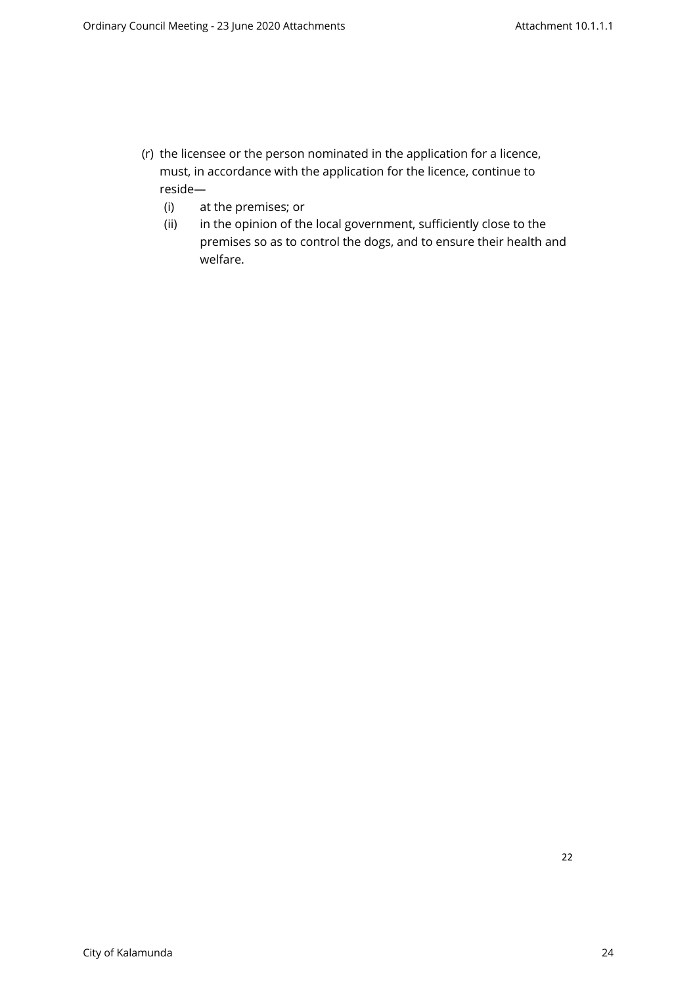- (r) the licensee or the person nominated in the application for a licence, must, in accordance with the application for the licence, continue to reside—
	- (i) at the premises; or
	- (ii) in the opinion of the local government, sufficiently close to the premises so as to control the dogs, and to ensure their health and welfare.